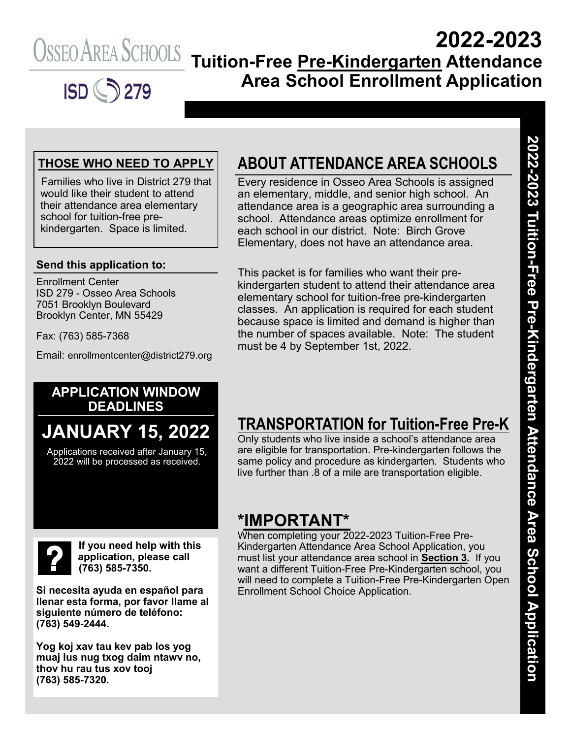

# **2022-2023 Tuition-Free Pre-Kindergarten Attendance Area School Enrollment Application**

#### **THOSE WHO NEED TO APPLY**

Families who live in District 279 that would like their student to attend their attendance area elementary school for tuition-free prekindergarten. Space is limited.

#### **Send this application to:**

Enrollment Center ISD 279 - Osseo Area Schools 7051 Brooklyn Boulevard Brooklyn Center, MN 55429

Fax: (763) 585-7368

Email: enrollmentcenter@district279.org

## **ABOUT ATTENDANCE AREA SCHOOLS**

Every residence in Osseo Area Schools is assigned an elementary, middle, and senior high school. An attendance area is a geographic area surrounding a school. Attendance areas optimize enrollment for each school in our district. Note: Birch Grove Elementary, does not have an attendance area.

This packet is for families who want their prekindergarten student to attend their attendance area elementary school for tuition-free pre-kindergarten classes. An application is required for each student because space is limited and demand is higher than the number of spaces available. Note: The student must be 4 by September 1st, 2022.

#### **APPLICATION WINDOW DEADLINES**

# **JANUARY 15, 2022**

Applications received after January 15, 2022 will be processed as received.

**If you need help with this application, please call (763) 585-7350.**

**Si necesita ayuda en español para llenar esta forma, por favor llame al siguiente número de teléfono: (763) 549-2444.**

**Yog koj xav tau kev pab los yog muaj lus nug txog daim ntawv no, thov hu rau tus xov tooj (763) 585-7320.**

## **TRANSPORTATION for Tuition-Free Pre-K**

Only students who live inside a school's attendance area are eligible for transportation. Pre-kindergarten follows the same policy and procedure as kindergarten. Students who live further than .8 of a mile are transportation eligible.

### **\*IMPORTANT\***

When completing your 2022-2023 Tuition-Free Pre-Kindergarten Attendance Area School Application, you must list your attendance area school in **Section 3.** If you want a different Tuition-Free Pre-Kindergarten school, you will need to complete a Tuition-Free Pre-Kindergarten Open Enrollment School Choice Application.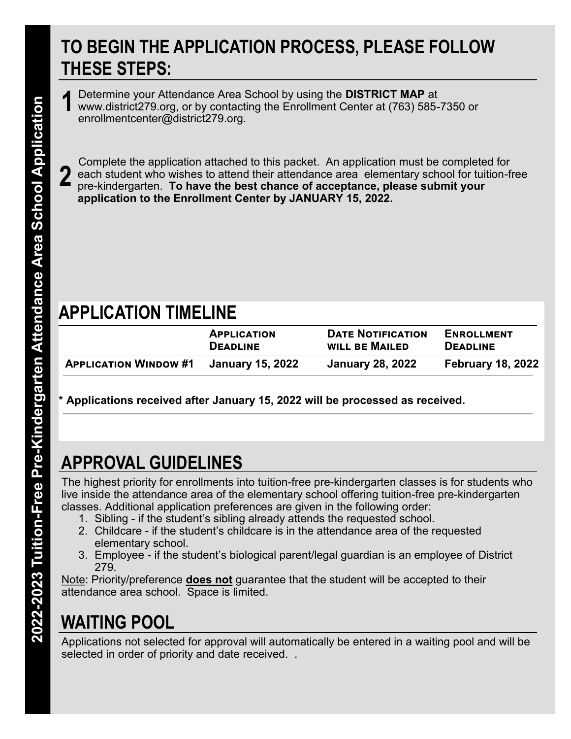# **TO BEGIN THE APPLICATION PROCESS, PLEASE FOLLOW THESE STEPS:**

Determine your Attendance Area School by using the **DISTRICT MAP** at www.district279.org, or by contacting the Enrollment Center at (763) 585-7350 or enrollmentcenter@district279.org. **1**

Complete the application attached to this packet. An application must be completed for each student who wishes to attend their attendance area elementary school for tuition-free pre-kindergarten. **To have the best chance of acceptance, please submit your application to the Enrollment Center by JANUARY 15, 2022. 2**

# **APPLICATION TIMELINE**

| <b>APPLICATION</b>           |                  | <b>DATE NOTIFICATION</b> | <b>ENROLLMENT</b>        |  |
|------------------------------|------------------|--------------------------|--------------------------|--|
| <b>DEADLINE</b>              |                  | <b>WILL BE MAILED</b>    | <b>DEADLINE</b>          |  |
| <b>APPLICATION WINDOW #1</b> | January 15, 2022 | <b>January 28, 2022</b>  | <b>February 18, 2022</b> |  |

**\* Applications received after January 15, 2022 will be processed as received.**

# **APPROVAL GUIDELINES**

The highest priority for enrollments into tuition-free pre-kindergarten classes is for students who live inside the attendance area of the elementary school offering tuition-free pre-kindergarten classes. Additional application preferences are given in the following order:

- 1. Sibling if the student's sibling already attends the requested school.
- 2. Childcare if the student's childcare is in the attendance area of the requested elementary school.
- 3. Employee if the student's biological parent/legal guardian is an employee of District 279.

Note: Priority/preference **does not** guarantee that the student will be accepted to their attendance area school. Space is limited.

# **WAITING POOL**

Applications not selected for approval will automatically be entered in a waiting pool and will be selected in order of priority and date received. .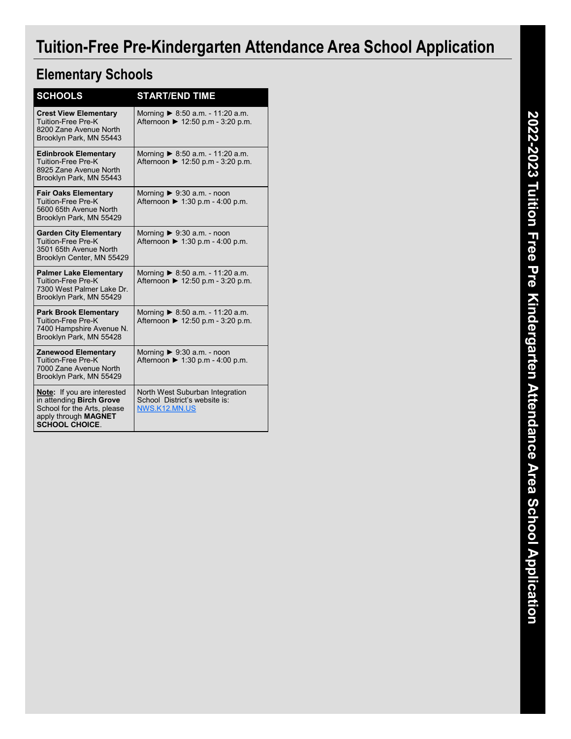# **Tuition-Free Pre-Kindergarten Attendance Area School Application**

#### **Elementary Schools**

| <b>SCHOOLS</b>                                                                                                                                 | <b>START/END TIME</b>                                                                |  |  |  |  |
|------------------------------------------------------------------------------------------------------------------------------------------------|--------------------------------------------------------------------------------------|--|--|--|--|
| <b>Crest View Elementary</b><br>Tuition-Free Pre-K<br>8200 Zane Avenue North<br>Brooklyn Park, MN 55443                                        | Morning ▶ 8:50 a.m. - 11:20 a.m.<br>Afternoon ▶ 12:50 p.m - 3:20 p.m.                |  |  |  |  |
| <b>Edinbrook Elementary</b><br><b>Tuition-Free Pre-K</b><br>8925 Zane Avenue North<br>Brooklyn Park, MN 55443                                  | Morning $\triangleright$ 8:50 a.m. - 11:20 a.m.<br>Afternoon ▶ 12:50 p.m - 3:20 p.m. |  |  |  |  |
| <b>Fair Oaks Elementary</b><br><b>Tuition-Free Pre-K</b><br>5600 65th Avenue North<br>Brooklyn Park, MN 55429                                  | Morning $\triangleright$ 9:30 a.m. - noon<br>Afternoon ▶ 1:30 p.m - 4:00 p.m.        |  |  |  |  |
| <b>Garden City Elementary</b><br>Tuition-Free Pre-K<br>3501 65th Avenue North<br>Brooklyn Center, MN 55429                                     | Morning $\triangleright$ 9:30 a.m. - noon<br>Afternoon ▶ 1:30 p.m - 4:00 p.m.        |  |  |  |  |
| <b>Palmer Lake Elementary</b><br><b>Tuition-Free Pre-K</b><br>7300 West Palmer Lake Dr.<br>Brooklyn Park, MN 55429                             | Morning $\triangleright$ 8:50 a.m. - 11:20 a.m.<br>Afternoon ▶ 12:50 p.m - 3:20 p.m. |  |  |  |  |
| <b>Park Brook Elementary</b><br><b>Tuition-Free Pre-K</b><br>7400 Hampshire Avenue N.<br>Brooklyn Park, MN 55428                               | Morning $\triangleright$ 8:50 a.m. - 11:20 a.m.<br>Afternoon ▶ 12:50 p.m - 3:20 p.m. |  |  |  |  |
| <b>Zanewood Elementary</b><br>Tuition-Free Pre-K<br>7000 Zane Avenue North<br>Brooklyn Park, MN 55429                                          | Morning $\triangleright$ 9:30 a.m. - noon<br>Afternoon ▶ 1:30 p.m - 4:00 p.m.        |  |  |  |  |
| <b>Note:</b> If you are interested<br>in attending Birch Grove<br>School for the Arts, please<br>apply through MAGNET<br><b>SCHOOL CHOICE.</b> | North West Suburban Integration<br>School District's website is:<br>NWS.K12.MN.US    |  |  |  |  |